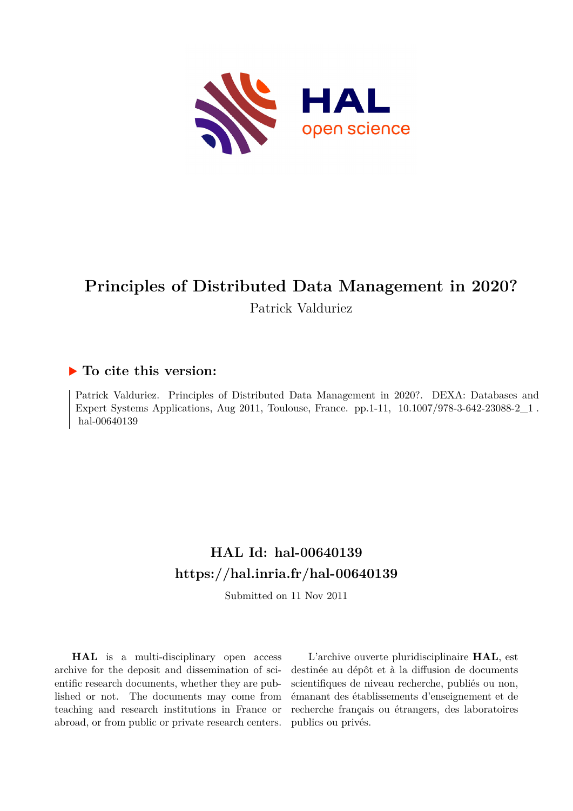

# **Principles of Distributed Data Management in 2020?** Patrick Valduriez

## **To cite this version:**

Patrick Valduriez. Principles of Distributed Data Management in 2020?. DEXA: Databases and Expert Systems Applications, Aug 2011, Toulouse, France. pp. 1-11,  $10.1007/978-3-642-23088-2\_1$ . hal-00640139

## **HAL Id: hal-00640139 <https://hal.inria.fr/hal-00640139>**

Submitted on 11 Nov 2011

**HAL** is a multi-disciplinary open access archive for the deposit and dissemination of scientific research documents, whether they are published or not. The documents may come from teaching and research institutions in France or abroad, or from public or private research centers.

L'archive ouverte pluridisciplinaire **HAL**, est destinée au dépôt et à la diffusion de documents scientifiques de niveau recherche, publiés ou non, émanant des établissements d'enseignement et de recherche français ou étrangers, des laboratoires publics ou privés.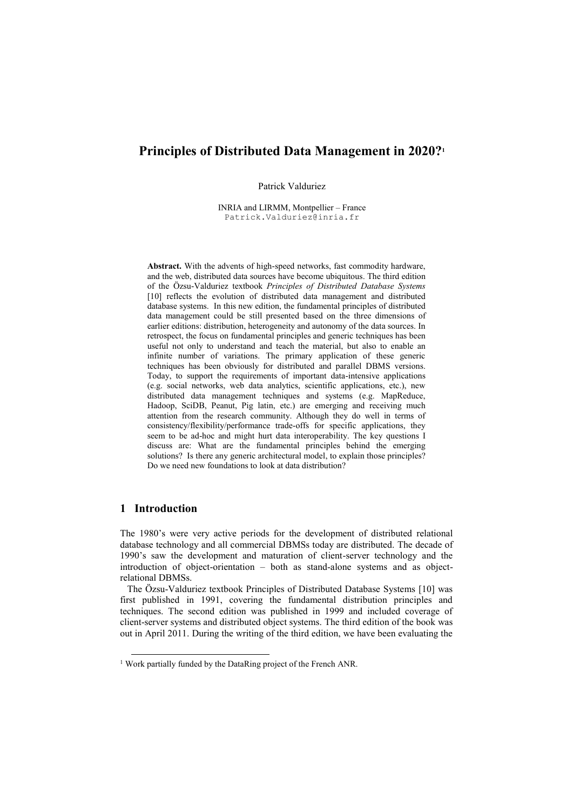### **Principles of Distributed Data Management in 2020?<sup>1</sup>**

Patrick Valduriez

INRIA and LIRMM, Montpellier – France Patrick.Valduriez@inria.fr

**Abstract.** With the advents of high-speed networks, fast commodity hardware, and the web, distributed data sources have become ubiquitous. The third edition of the Özsu-Valduriez textbook *Principles of Distributed Database Systems* [\[10\]](#page-10-0) reflects the evolution of distributed data management and distributed database systems. In this new edition, the fundamental principles of distributed data management could be still presented based on the three dimensions of earlier editions: distribution, heterogeneity and autonomy of the data sources. In retrospect, the focus on fundamental principles and generic techniques has been useful not only to understand and teach the material, but also to enable an infinite number of variations. The primary application of these generic techniques has been obviously for distributed and parallel DBMS versions. Today, to support the requirements of important data-intensive applications (e.g. social networks, web data analytics, scientific applications, etc.), new distributed data management techniques and systems (e.g. MapReduce, Hadoop, SciDB, Peanut, Pig latin, etc.) are emerging and receiving much attention from the research community. Although they do well in terms of consistency/flexibility/performance trade-offs for specific applications, they seem to be ad-hoc and might hurt data interoperability. The key questions I discuss are: What are the fundamental principles behind the emerging solutions? Is there any generic architectural model, to explain those principles? Do we need new foundations to look at data distribution?

#### **1 Introduction**

1

The 1980's were very active periods for the development of distributed relational database technology and all commercial DBMSs today are distributed. The decade of 1990's saw the development and maturation of client-server technology and the introduction of object-orientation – both as stand-alone systems and as objectrelational DBMSs.

 The Özsu-Valduriez textbook Principles of Distributed Database Systems [\[10\]](#page-10-0) was first published in 1991, covering the fundamental distribution principles and techniques. The second edition was published in 1999 and included coverage of client-server systems and distributed object systems. The third edition of the book was out in April 2011. During the writing of the third edition, we have been evaluating the

<sup>&</sup>lt;sup>1</sup> Work partially funded by the DataRing project of the French ANR.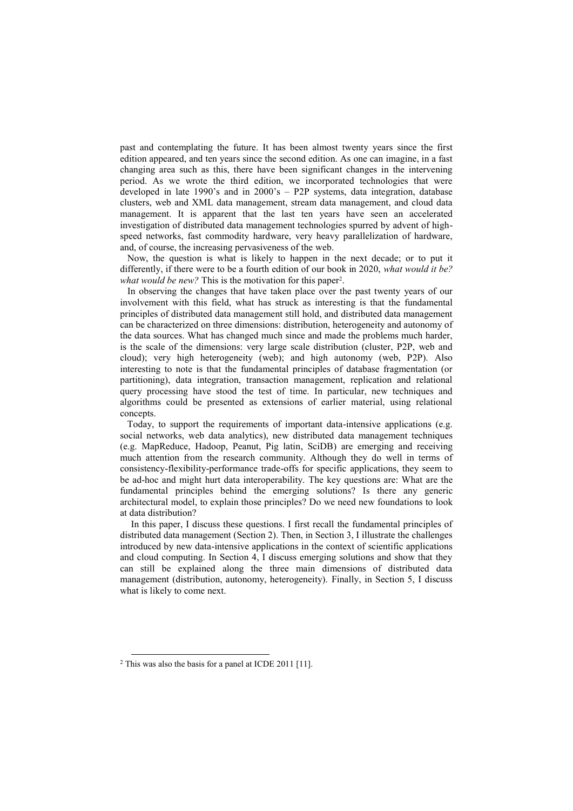past and contemplating the future. It has been almost twenty years since the first edition appeared, and ten years since the second edition. As one can imagine, in a fast changing area such as this, there have been significant changes in the intervening period. As we wrote the third edition, we incorporated technologies that were developed in late 1990's and in 2000's – P2P systems, data integration, database clusters, web and XML data management, stream data management, and cloud data management. It is apparent that the last ten years have seen an accelerated investigation of distributed data management technologies spurred by advent of highspeed networks, fast commodity hardware, very heavy parallelization of hardware, and, of course, the increasing pervasiveness of the web.

 Now, the question is what is likely to happen in the next decade; or to put it differently, if there were to be a fourth edition of our book in 2020, *what would it be?*  what would be new? This is the motivation for this paper<sup>2</sup>.

 In observing the changes that have taken place over the past twenty years of our involvement with this field, what has struck as interesting is that the fundamental principles of distributed data management still hold, and distributed data management can be characterized on three dimensions: distribution, heterogeneity and autonomy of the data sources. What has changed much since and made the problems much harder, is the scale of the dimensions: very large scale distribution (cluster, P2P, web and cloud); very high heterogeneity (web); and high autonomy (web, P2P). Also interesting to note is that the fundamental principles of database fragmentation (or partitioning), data integration, transaction management, replication and relational query processing have stood the test of time. In particular, new techniques and algorithms could be presented as extensions of earlier material, using relational concepts.

 Today, to support the requirements of important data-intensive applications (e.g. social networks, web data analytics), new distributed data management techniques (e.g. MapReduce, Hadoop, Peanut, Pig latin, SciDB) are emerging and receiving much attention from the research community. Although they do well in terms of consistency-flexibility-performance trade-offs for specific applications, they seem to be ad-hoc and might hurt data interoperability. The key questions are: What are the fundamental principles behind the emerging solutions? Is there any generic architectural model, to explain those principles? Do we need new foundations to look at data distribution?

In this paper, I discuss these questions. I first recall the fundamental principles of distributed data management (Section 2). Then, in Section 3, I illustrate the challenges introduced by new data-intensive applications in the context of scientific applications and cloud computing. In Section 4, I discuss emerging solutions and show that they can still be explained along the three main dimensions of distributed data management (distribution, autonomy, heterogeneity). Finally, in Section 5, I discuss what is likely to come next.

1

<sup>2</sup> This was also the basis for a panel at ICDE 2011 [\[11\]](#page-10-1).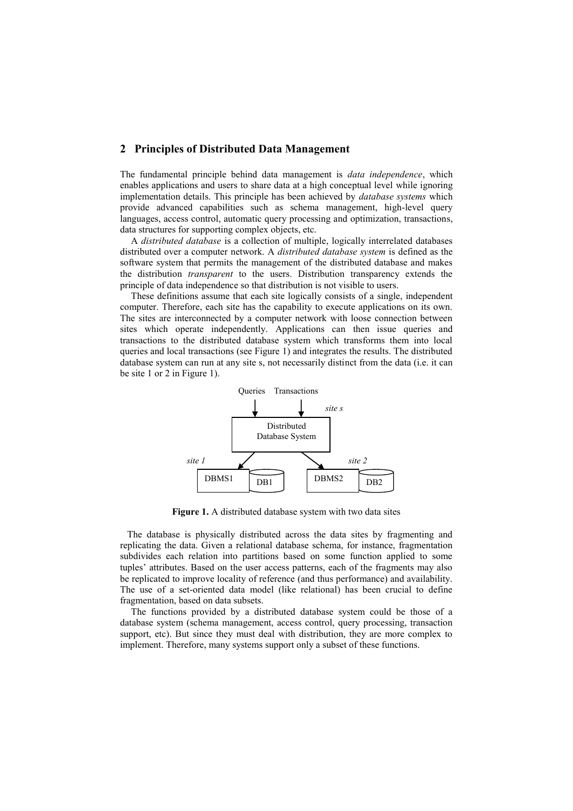#### **2 Principles of Distributed Data Management**

The fundamental principle behind data management is *data independence*, which enables applications and users to share data at a high conceptual level while ignoring implementation details. This principle has been achieved by *database systems* which provide advanced capabilities such as schema management, high-level query languages, access control, automatic query processing and optimization, transactions, data structures for supporting complex objects, etc.

A *distributed database* is a collection of multiple, logically interrelated databases distributed over a computer network. A *distributed database system* is defined as the software system that permits the management of the distributed database and makes the distribution *transparent* to the users. Distribution transparency extends the principle of data independence so that distribution is not visible to users.

These definitions assume that each site logically consists of a single, independent computer. Therefore, each site has the capability to execute applications on its own. The sites are interconnected by a computer network with loose connection between sites which operate independently. Applications can then issue queries and transactions to the distributed database system which transforms them into local queries and local transactions (see Figure 1) and integrates the results. The distributed database system can run at any site s, not necessarily distinct from the data (i.e. it can be site 1 or 2 in Figure 1).



**Figure 1.** A distributed database system with two data sites

 The database is physically distributed across the data sites by fragmenting and replicating the data. Given a relational database schema, for instance, fragmentation subdivides each relation into partitions based on some function applied to some tuples' attributes. Based on the user access patterns, each of the fragments may also be replicated to improve locality of reference (and thus performance) and availability. The use of a set-oriented data model (like relational) has been crucial to define fragmentation, based on data subsets.

The functions provided by a distributed database system could be those of a database system (schema management, access control, query processing, transaction support, etc). But since they must deal with distribution, they are more complex to implement. Therefore, many systems support only a subset of these functions.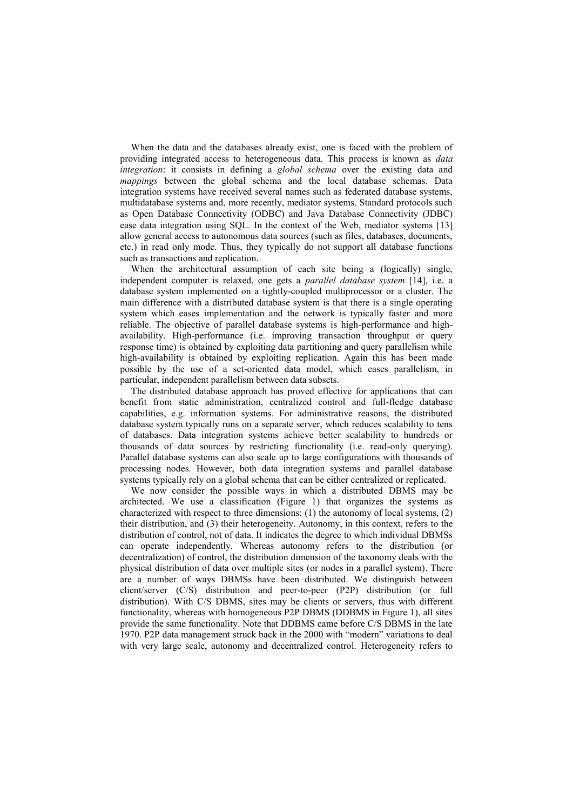When the data and the databases already exist, one is faced with the problem of providing integrated access to heterogeneous data. This process is known as *data integration*: it consists in defining a *global schema* over the existing data and *mappings* between the global schema and the local database schemas. Data integration systems have received several names such as federated database systems, multidatabase systems and, more recently, mediator systems. Standard protocols such as Open Database Connectivity (ODBC) and Java Database Connectivity (JDBC) ease data integration using SQL. In the context of the Web, mediator systems [\[13\]](#page-10-2) allow general access to autonomous data sources (such as files, databases, documents, etc.) in read only mode. Thus, they typically do not support all database functions such as transactions and replication.

When the architectural assumption of each site being a (logically) single, independent computer is relaxed, one gets a *parallel database system* [\[14\]](#page-10-3), i.e. a database system implemented on a tightly-coupled multiprocessor or a cluster. The main difference with a distributed database system is that there is a single operating system which eases implementation and the network is typically faster and more reliable. The objective of parallel database systems is high-performance and highavailability. High-performance (i.e. improving transaction throughput or query response time) is obtained by exploiting data partitioning and query parallelism while high-availability is obtained by exploiting replication. Again this has been made possible by the use of a set-oriented data model, which eases parallelism, in particular, independent parallelism between data subsets.

The distributed database approach has proved effective for applications that can benefit from static administration, centralized control and full-fledge database capabilities, e.g. information systems. For administrative reasons, the distributed database system typically runs on a separate server, which reduces scalability to tens of databases. Data integration systems achieve better scalability to hundreds or thousands of data sources by restricting functionality (i.e. read-only querying). Parallel database systems can also scale up to large configurations with thousands of processing nodes. However, both data integration systems and parallel database systems typically rely on a global schema that can be either centralized or replicated.

We now consider the possible ways in which a distributed DBMS may be architected. We use a classification (Figure 1) that organizes the systems as characterized with respect to three dimensions: (1) the autonomy of local systems, (2) their distribution, and (3) their heterogeneity. Autonomy, in this context, refers to the distribution of control, not of data. It indicates the degree to which individual DBMSs can operate independently. Whereas autonomy refers to the distribution (or decentralization) of control, the distribution dimension of the taxonomy deals with the physical distribution of data over multiple sites (or nodes in a parallel system). There are a number of ways DBMSs have been distributed. We distinguish between client/server (C/S) distribution and peer-to-peer (P2P) distribution (or full distribution). With C/S DBMS, sites may be clients or servers, thus with different functionality, whereas with homogeneous P2P DBMS (DDBMS in Figure 1), all sites provide the same functionality. Note that DDBMS came before C/S DBMS in the late 1970. P2P data management struck back in the 2000 with "modern" variations to deal with very large scale, autonomy and decentralized control. Heterogeneity refers to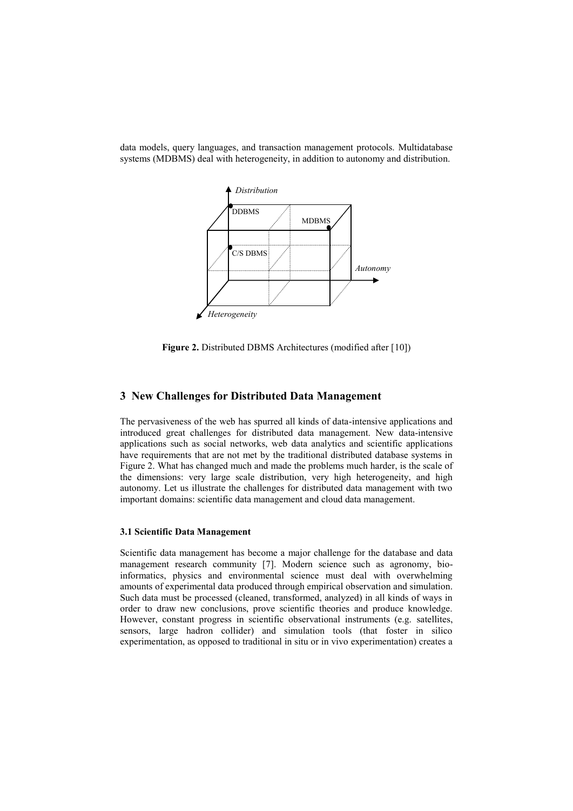

data models, query languages, and transaction management protocols. Multidatabase systems (MDBMS) deal with heterogeneity, in addition to autonomy and distribution.

**Figure 2.** Distributed DBMS Architectures (modified after [\[10\]](#page-10-0))

#### **3 New Challenges for Distributed Data Management**

The pervasiveness of the web has spurred all kinds of data-intensive applications and introduced great challenges for distributed data management. New data-intensive applications such as social networks, web data analytics and scientific applications have requirements that are not met by the traditional distributed database systems in Figure 2. What has changed much and made the problems much harder, is the scale of the dimensions: very large scale distribution, very high heterogeneity, and high autonomy. Let us illustrate the challenges for distributed data management with two important domains: scientific data management and cloud data management.

#### **3.1 Scientific Data Management**

Scientific data management has become a major challenge for the database and data management research community [\[7\]](#page-10-4). Modern science such as agronomy, bioinformatics, physics and environmental science must deal with overwhelming amounts of experimental data produced through empirical observation and simulation. Such data must be processed (cleaned, transformed, analyzed) in all kinds of ways in order to draw new conclusions, prove scientific theories and produce knowledge. However, constant progress in scientific observational instruments (e.g. satellites, sensors, large hadron collider) and simulation tools (that foster in silico experimentation, as opposed to traditional in situ or in vivo experimentation) creates a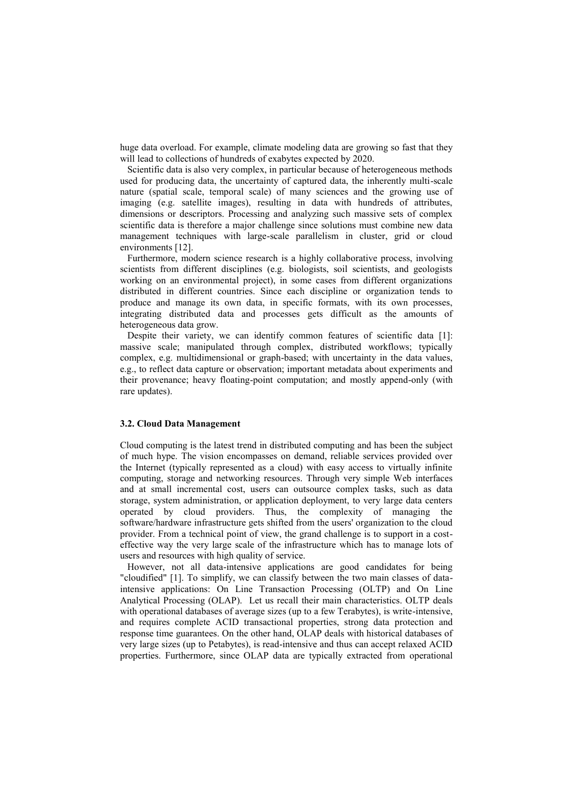huge data overload. For example, climate modeling data are growing so fast that they will lead to collections of hundreds of exabytes expected by 2020.

 Scientific data is also very complex, in particular because of heterogeneous methods used for producing data, the uncertainty of captured data, the inherently multi-scale nature (spatial scale, temporal scale) of many sciences and the growing use of imaging (e.g. satellite images), resulting in data with hundreds of attributes, dimensions or descriptors. Processing and analyzing such massive sets of complex scientific data is therefore a major challenge since solutions must combine new data management techniques with large-scale parallelism in cluster, grid or cloud environments [\[12\]](#page-10-5).

 Furthermore, modern science research is a highly collaborative process, involving scientists from different disciplines (e.g. biologists, soil scientists, and geologists working on an environmental project), in some cases from different organizations distributed in different countries. Since each discipline or organization tends to produce and manage its own data, in specific formats, with its own processes, integrating distributed data and processes gets difficult as the amounts of heterogeneous data grow.

Despite their variety, we can identify common features of scientific data [\[1\]](#page-10-6): massive scale; manipulated through complex, distributed workflows; typically complex, e.g. multidimensional or graph-based; with uncertainty in the data values, e.g., to reflect data capture or observation; important metadata about experiments and their provenance; heavy floating-point computation; and mostly append-only (with rare updates).

#### **3.2. Cloud Data Management**

Cloud computing is the latest trend in distributed computing and has been the subject of much hype. The vision encompasses on demand, reliable services provided over the Internet (typically represented as a cloud) with easy access to virtually infinite computing, storage and networking resources. Through very simple Web interfaces and at small incremental cost, users can outsource complex tasks, such as data storage, system administration, or application deployment, to very large data centers operated by cloud providers. Thus, the complexity of managing the software/hardware infrastructure gets shifted from the users' organization to the cloud provider. From a technical point of view, the grand challenge is to support in a costeffective way the very large scale of the infrastructure which has to manage lots of users and resources with high quality of service.

 However, not all data-intensive applications are good candidates for being "cloudified" [\[1\]](#page-10-6). To simplify, we can classify between the two main classes of dataintensive applications: On Line Transaction Processing (OLTP) and On Line Analytical Processing (OLAP). Let us recall their main characteristics. OLTP deals with operational databases of average sizes (up to a few Terabytes), is write-intensive, and requires complete ACID transactional properties, strong data protection and response time guarantees. On the other hand, OLAP deals with historical databases of very large sizes (up to Petabytes), is read-intensive and thus can accept relaxed ACID properties. Furthermore, since OLAP data are typically extracted from operational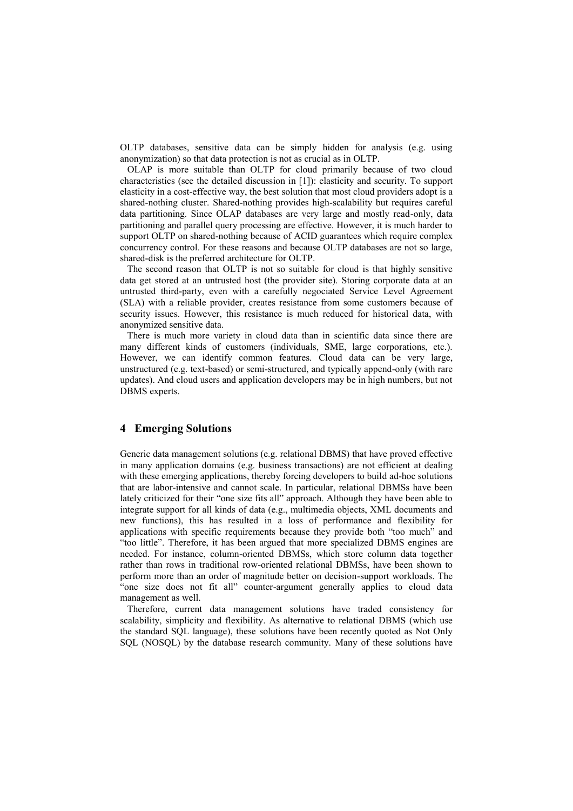OLTP databases, sensitive data can be simply hidden for analysis (e.g. using anonymization) so that data protection is not as crucial as in OLTP.

 OLAP is more suitable than OLTP for cloud primarily because of two cloud characteristics (see the detailed discussion in [\[1\]](#page-10-6)): elasticity and security. To support elasticity in a cost-effective way, the best solution that most cloud providers adopt is a shared-nothing cluster. Shared-nothing provides high-scalability but requires careful data partitioning. Since OLAP databases are very large and mostly read-only, data partitioning and parallel query processing are effective. However, it is much harder to support OLTP on shared-nothing because of ACID guarantees which require complex concurrency control. For these reasons and because OLTP databases are not so large, shared-disk is the preferred architecture for OLTP.

 The second reason that OLTP is not so suitable for cloud is that highly sensitive data get stored at an untrusted host (the provider site). Storing corporate data at an untrusted third-party, even with a carefully negociated Service Level Agreement (SLA) with a reliable provider, creates resistance from some customers because of security issues. However, this resistance is much reduced for historical data, with anonymized sensitive data.

 There is much more variety in cloud data than in scientific data since there are many different kinds of customers (individuals, SME, large corporations, etc.). However, we can identify common features. Cloud data can be very large, unstructured (e.g. text-based) or semi-structured, and typically append-only (with rare updates). And cloud users and application developers may be in high numbers, but not DBMS experts.

#### **4 Emerging Solutions**

Generic data management solutions (e.g. relational DBMS) that have proved effective in many application domains (e.g. business transactions) are not efficient at dealing with these emerging applications, thereby forcing developers to build ad-hoc solutions that are labor-intensive and cannot scale. In particular, relational DBMSs have been lately criticized for their "one size fits all" approach. Although they have been able to integrate support for all kinds of data (e.g., multimedia objects, XML documents and new functions), this has resulted in a loss of performance and flexibility for applications with specific requirements because they provide both "too much" and "too little". Therefore, it has been argued that more specialized DBMS engines are needed. For instance, column-oriented DBMSs, which store column data together rather than rows in traditional row-oriented relational DBMSs, have been shown to perform more than an order of magnitude better on decision-support workloads. The "one size does not fit all" counter-argument generally applies to cloud data management as well.

 Therefore, current data management solutions have traded consistency for scalability, simplicity and flexibility. As alternative to relational DBMS (which use the standard SQL language), these solutions have been recently quoted as Not Only SQL (NOSQL) by the database research community. Many of these solutions have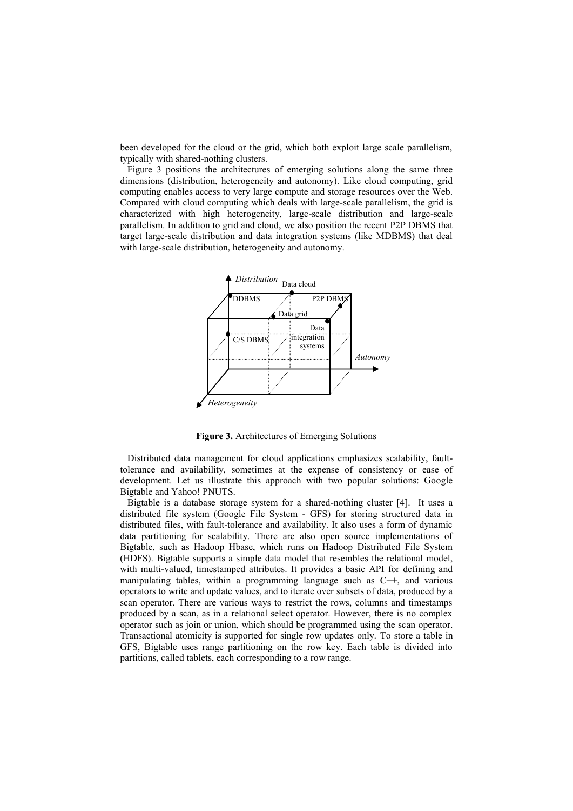been developed for the cloud or the grid, which both exploit large scale parallelism, typically with shared-nothing clusters.

 Figure 3 positions the architectures of emerging solutions along the same three dimensions (distribution, heterogeneity and autonomy). Like cloud computing, grid computing enables access to very large compute and storage resources over the Web. Compared with cloud computing which deals with large-scale parallelism, the grid is characterized with high heterogeneity, large-scale distribution and large-scale parallelism. In addition to grid and cloud, we also position the recent P2P DBMS that target large-scale distribution and data integration systems (like MDBMS) that deal with large-scale distribution, heterogeneity and autonomy.



**Figure 3.** Architectures of Emerging Solutions

 Distributed data management for cloud applications emphasizes scalability, faulttolerance and availability, sometimes at the expense of consistency or ease of development. Let us illustrate this approach with two popular solutions: Google Bigtable and Yahoo! PNUTS.

 Bigtable is a database storage system for a shared-nothing cluster [\[4\]](#page-10-7). It uses a distributed file system (Google File System - GFS) for storing structured data in distributed files, with fault-tolerance and availability. It also uses a form of dynamic data partitioning for scalability. There are also open source implementations of Bigtable, such as Hadoop Hbase, which runs on Hadoop Distributed File System (HDFS). Bigtable supports a simple data model that resembles the relational model, with multi-valued, timestamped attributes. It provides a basic API for defining and manipulating tables, within a programming language such as  $C++$ , and various operators to write and update values, and to iterate over subsets of data, produced by a scan operator. There are various ways to restrict the rows, columns and timestamps produced by a scan, as in a relational select operator. However, there is no complex operator such as join or union, which should be programmed using the scan operator. Transactional atomicity is supported for single row updates only. To store a table in GFS, Bigtable uses range partitioning on the row key. Each table is divided into partitions, called tablets, each corresponding to a row range.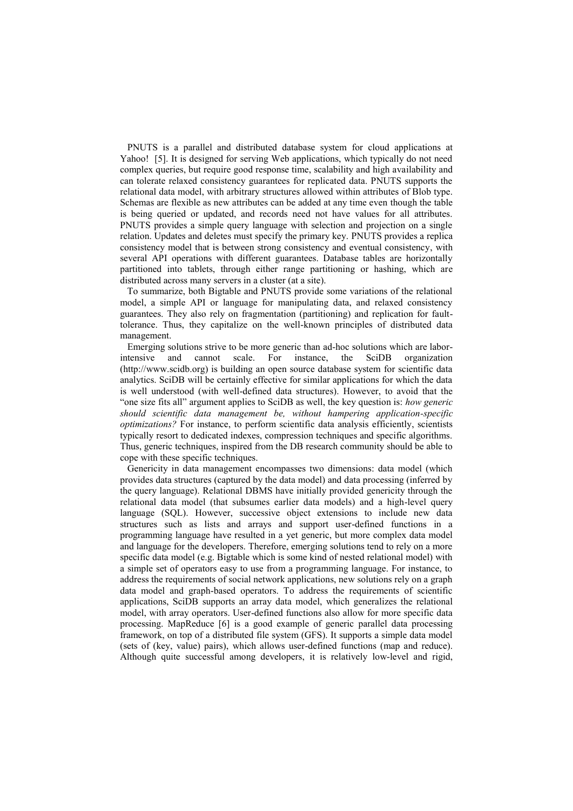PNUTS is a parallel and distributed database system for cloud applications at Yahoo! [\[5\]](#page-10-8). It is designed for serving Web applications, which typically do not need complex queries, but require good response time, scalability and high availability and can tolerate relaxed consistency guarantees for replicated data. PNUTS supports the relational data model, with arbitrary structures allowed within attributes of Blob type. Schemas are flexible as new attributes can be added at any time even though the table is being queried or updated, and records need not have values for all attributes. PNUTS provides a simple query language with selection and projection on a single relation. Updates and deletes must specify the primary key. PNUTS provides a replica consistency model that is between strong consistency and eventual consistency, with several API operations with different guarantees. Database tables are horizontally partitioned into tablets, through either range partitioning or hashing, which are distributed across many servers in a cluster (at a site).

 To summarize, both Bigtable and PNUTS provide some variations of the relational model, a simple API or language for manipulating data, and relaxed consistency guarantees. They also rely on fragmentation (partitioning) and replication for faulttolerance. Thus, they capitalize on the well-known principles of distributed data management.

Emerging solutions strive to be more generic than ad-hoc solutions which are labor-<br>tensive and cannot scale. For instance, the SciDB organization intensive and cannot scale. For instance, the SciDB organization (http://www.scidb.org) is building an open source database system for scientific data analytics. SciDB will be certainly effective for similar applications for which the data is well understood (with well-defined data structures). However, to avoid that the "one size fits all" argument applies to SciDB as well, the key question is: *how generic should scientific data management be, without hampering application-specific optimizations?* For instance, to perform scientific data analysis efficiently, scientists typically resort to dedicated indexes, compression techniques and specific algorithms. Thus, generic techniques, inspired from the DB research community should be able to cope with these specific techniques.

 Genericity in data management encompasses two dimensions: data model (which provides data structures (captured by the data model) and data processing (inferred by the query language). Relational DBMS have initially provided genericity through the relational data model (that subsumes earlier data models) and a high-level query language (SQL). However, successive object extensions to include new data structures such as lists and arrays and support user-defined functions in a programming language have resulted in a yet generic, but more complex data model and language for the developers. Therefore, emerging solutions tend to rely on a more specific data model (e.g. Bigtable which is some kind of nested relational model) with a simple set of operators easy to use from a programming language. For instance, to address the requirements of social network applications, new solutions rely on a graph data model and graph-based operators. To address the requirements of scientific applications, SciDB supports an array data model, which generalizes the relational model, with array operators. User-defined functions also allow for more specific data processing. MapReduce [\[6\]](#page-10-9) is a good example of generic parallel data processing framework, on top of a distributed file system (GFS). It supports a simple data model (sets of (key, value) pairs), which allows user-defined functions (map and reduce). Although quite successful among developers, it is relatively low-level and rigid,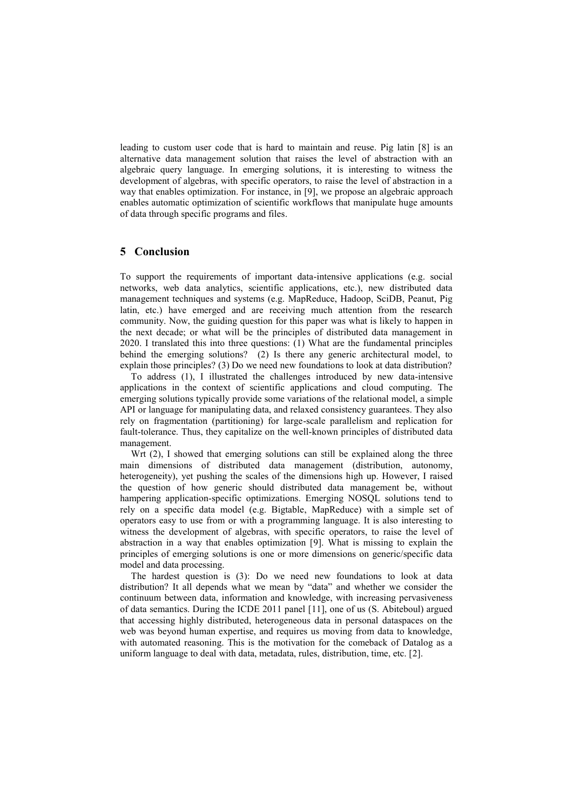leading to custom user code that is hard to maintain and reuse. Pig latin [\[8\]](#page-10-10) is an alternative data management solution that raises the level of abstraction with an algebraic query language. In emerging solutions, it is interesting to witness the development of algebras, with specific operators, to raise the level of abstraction in a way that enables optimization. For instance, in [\[9\]](#page-10-11), we propose an algebraic approach enables automatic optimization of scientific workflows that manipulate huge amounts of data through specific programs and files.

#### **5 Conclusion**

To support the requirements of important data-intensive applications (e.g. social networks, web data analytics, scientific applications, etc.), new distributed data management techniques and systems (e.g. MapReduce, Hadoop, SciDB, Peanut, Pig latin, etc.) have emerged and are receiving much attention from the research community. Now, the guiding question for this paper was what is likely to happen in the next decade; or what will be the principles of distributed data management in 2020. I translated this into three questions: (1) What are the fundamental principles behind the emerging solutions? (2) Is there any generic architectural model, to explain those principles? (3) Do we need new foundations to look at data distribution?

<span id="page-10-12"></span><span id="page-10-8"></span><span id="page-10-7"></span><span id="page-10-6"></span>To address (1), I illustrated the challenges introduced by new data-intensive applications in the context of scientific applications and cloud computing. The emerging solutions typically provide some variations of the relational model, a simple API or language for manipulating data, and relaxed consistency guarantees. They also rely on fragmentation (partitioning) for large-scale parallelism and replication for fault-tolerance. Thus, they capitalize on the well-known principles of distributed data management.

<span id="page-10-11"></span><span id="page-10-10"></span><span id="page-10-9"></span><span id="page-10-4"></span>Wrt (2), I showed that emerging solutions can still be explained along the three main dimensions of distributed data management (distribution, autonomy, heterogeneity), yet pushing the scales of the dimensions high up. However, I raised the question of how generic should distributed data management be, without hampering application-specific optimizations. Emerging NOSQL solutions tend to rely on a specific data model (e.g. Bigtable, MapReduce) with a simple set of operators easy to use from or with a programming language. It is also interesting to witness the development of algebras, with specific operators, to raise the level of abstraction in a way that enables optimization [\[9\]](#page-10-11). What is missing to explain the principles of emerging solutions is one or more dimensions on generic/specific data model and data processing.

<span id="page-10-5"></span><span id="page-10-3"></span><span id="page-10-2"></span><span id="page-10-1"></span><span id="page-10-0"></span>The hardest question is (3): Do we need new foundations to look at data distribution? It all depends what we mean by "data" and whether we consider the continuum between data, information and knowledge, with increasing pervasiveness of data semantics. During the ICDE 2011 panel [\[11\]](#page-10-1), one of us (S. Abiteboul) argued that accessing highly distributed, heterogeneous data in personal dataspaces on the web was beyond human expertise, and requires us moving from data to knowledge, with automated reasoning. This is the motivation for the comeback of Datalog as a uniform language to deal with data, metadata, rules, distribution, time, etc. [\[2\]](#page-10-12).